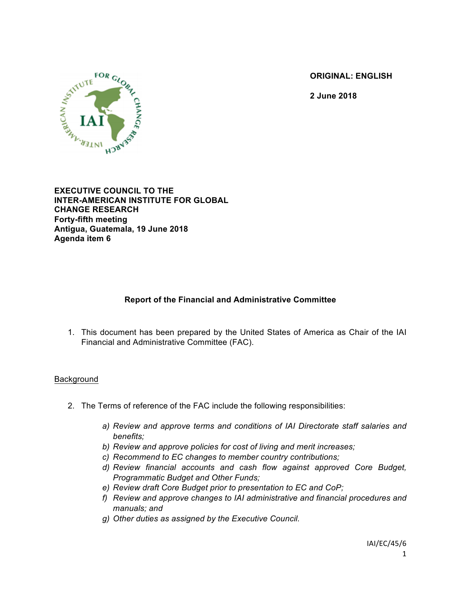**ORIGINAL: ENGLISH**

**2 June 2018**



**EXECUTIVE COUNCIL TO THE INTER-AMERICAN INSTITUTE FOR GLOBAL CHANGE RESEARCH Forty-fifth meeting Antigua, Guatemala, 19 June 2018 Agenda item 6**

# **Report of the Financial and Administrative Committee**

1. This document has been prepared by the United States of America as Chair of the IAI Financial and Administrative Committee (FAC).

#### Background

- 2. The Terms of reference of the FAC include the following responsibilities:
	- *a) Review and approve terms and conditions of IAI Directorate staff salaries and benefits;*
	- *b) Review and approve policies for cost of living and merit increases;*
	- *c) Recommend to EC changes to member country contributions;*
	- *d) Review financial accounts and cash flow against approved Core Budget, Programmatic Budget and Other Funds;*
	- *e) Review draft Core Budget prior to presentation to EC and CoP;*
	- *f) Review and approve changes to IAI administrative and financial procedures and manuals; and*
	- *g) Other duties as assigned by the Executive Council.*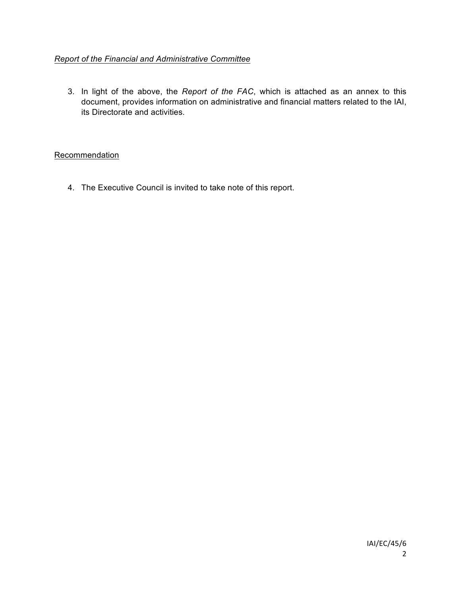## *Report of the Financial and Administrative Committee*

3. In light of the above, the *Report of the FAC*, which is attached as an annex to this document, provides information on administrative and financial matters related to the IAI, its Directorate and activities.

### **Recommendation**

4. The Executive Council is invited to take note of this report.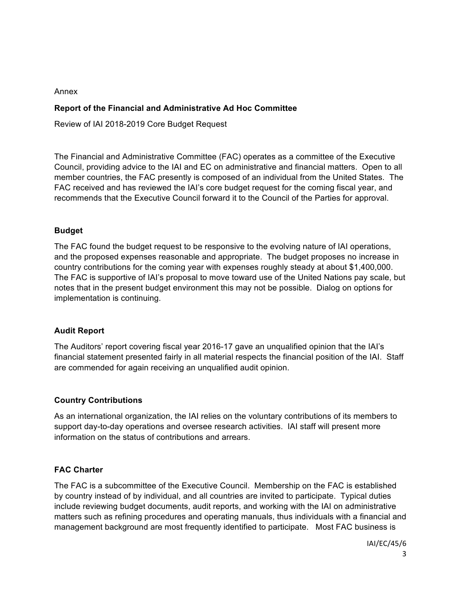#### Annex

### **Report of the Financial and Administrative Ad Hoc Committee**

Review of IAI 2018-2019 Core Budget Request

The Financial and Administrative Committee (FAC) operates as a committee of the Executive Council, providing advice to the IAI and EC on administrative and financial matters. Open to all member countries, the FAC presently is composed of an individual from the United States. The FAC received and has reviewed the IAI's core budget request for the coming fiscal year, and recommends that the Executive Council forward it to the Council of the Parties for approval.

### **Budget**

The FAC found the budget request to be responsive to the evolving nature of IAI operations, and the proposed expenses reasonable and appropriate. The budget proposes no increase in country contributions for the coming year with expenses roughly steady at about \$1,400,000. The FAC is supportive of IAI's proposal to move toward use of the United Nations pay scale, but notes that in the present budget environment this may not be possible. Dialog on options for implementation is continuing.

### **Audit Report**

The Auditors' report covering fiscal year 2016-17 gave an unqualified opinion that the IAI's financial statement presented fairly in all material respects the financial position of the IAI. Staff are commended for again receiving an unqualified audit opinion.

### **Country Contributions**

As an international organization, the IAI relies on the voluntary contributions of its members to support day-to-day operations and oversee research activities. IAI staff will present more information on the status of contributions and arrears.

### **FAC Charter**

The FAC is a subcommittee of the Executive Council. Membership on the FAC is established by country instead of by individual, and all countries are invited to participate. Typical duties include reviewing budget documents, audit reports, and working with the IAI on administrative matters such as refining procedures and operating manuals, thus individuals with a financial and management background are most frequently identified to participate. Most FAC business is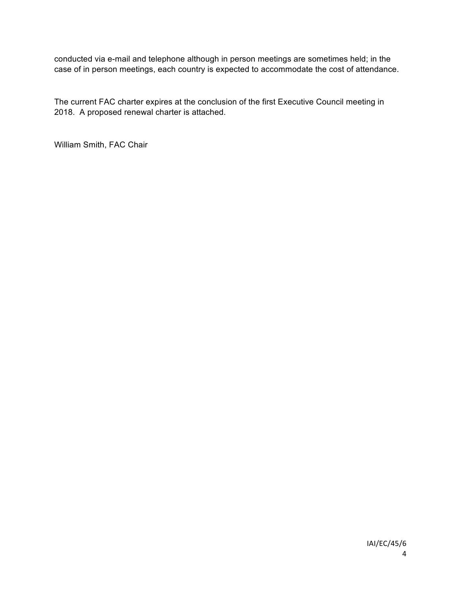conducted via e-mail and telephone although in person meetings are sometimes held; in the case of in person meetings, each country is expected to accommodate the cost of attendance.

The current FAC charter expires at the conclusion of the first Executive Council meeting in 2018. A proposed renewal charter is attached.

William Smith, FAC Chair